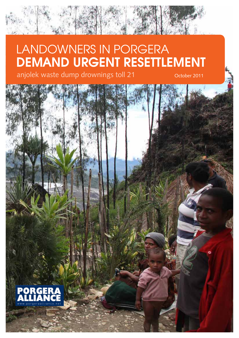# LANDOWNERS IN PORGERA DEMAND URGENT RESETTLEMENT

anjolek waste dump drownings toll 21 October 2011

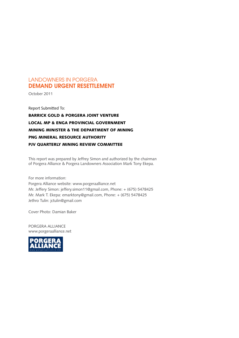### LANDOWNERS IN PORGERA DEMAND URGENT RESETTLEMENT

October 2011

Report Submitted To: BARRICK GOLD & PORGERA JOINT VENTURE LOCAL MP & ENGA PROVINCIAL GOVERNMENT MINING MINISTER & THE DEPARTMENT OF MINING PNG MINERAL RESOURCE AUTHORITY PJV QUARTERLY MINING REVIEW COMMITTEE

This report was prepared by Jeffrey Simon and authorized by the chairman of Porgera Alliance & Porgera Landowners Association Mark Tony Ekepa.

For more information: Porgera Alliance website: www.porgeraalliance.net Mr. Jeffery Simon: jeffery.simon11@gmail.com, Phone: + (675) 5478425 Mr. Mark T. Ekepa: emarktony@gmail.com, Phone: + (675) 5478425 Jethro Tulin: jctulin@gmail.com

Cover Photo: Damian Baker

PORGERA ALLIANCE www.porgeraalliance.net

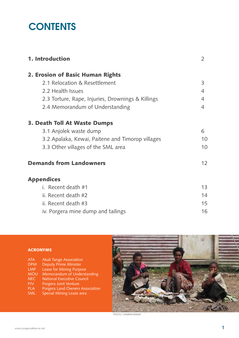# **CONTENTS**

| 1. Introduction                                   | 2  |
|---------------------------------------------------|----|
| 2. Erosion of Basic Human Rights                  |    |
| 2.1 Relocation & Resettlement                     | 3  |
| 2.2 Health Issues                                 | 4  |
| 2.3 Torture, Rape, Injuries, Drownings & Killings | 4  |
| 2.4 Memorandum of Understanding                   | 4  |
| <b>3. Death Toll At Waste Dumps</b>               |    |
| 3.1 Anjolek waste dump                            | 6  |
| 3.2 Apalaka, Kewai, Paitene and Timorop villages  | 10 |
| 3.3 Other villages of the SML area                | 10 |
| <b>Demands from Landowners</b>                    | 12 |
| <b>Appendices</b>                                 |    |
| i. Recent death #1                                | 13 |
| ii. Recent death #2                               | 14 |
| ii. Recent death #3                               | 15 |
| iv. Porgera mine dump and tailings                | 16 |

### ACRONYMS

| <b>ATA</b> | <b>Akali Tange Association</b>   |
|------------|----------------------------------|
| <b>DPM</b> | <b>Deputy Prime Minister</b>     |
| <b>LMP</b> | Lease for Mining Purpose         |
| <b>MOU</b> | Memorandum of Understanding      |
| <b>NEC</b> | National Executive Council       |
| <b>PJV</b> | Porgera Joint Venture            |
| <b>PLA</b> | Porgera Land Owners Association  |
| <b>SML</b> | <b>Special Mining Lease area</b> |
|            |                                  |



PHOTO: DAMIAN BAKER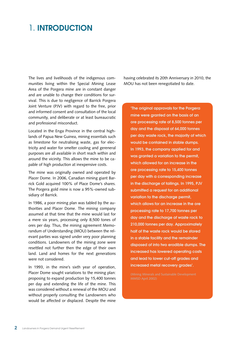## 1. INTRODUCTION

The lives and livelihoods of the indigenous communities living within the Special Mining Lease Area of the Porgera mine are in constant danger and are unable to change their conditions for survival. This is due to negligence of Barrick Porgera Joint Venture (PJV) with regard to the free, prior and informed consent and consultation of the local community, and deliberate or at least bureaucratic and professional misconduct.

Located in the Enga Province in the central highlands of Papua New Guinea, mining essentials such as limestone for neutralising waste, gas for electricity and water for smelter cooling and gereneral purposes are all available in short reach within and around the vicinity. This allows the mine to be capable of high production at inexpensive costs.

The mine was originally owned and operated by Placer Dome. In 2006, Canadian mining giant Barrick Gold acquired 100% of Place Dome's shares. The Porgera gold mine is now a 95%-owned subsidiary of Barrick.

In 1986, a poor mining plan was tabled by the authorities and Placer Dome. The mining company assumed at that time that the mine would last for a mere six years, processing only 8,500 tones of ores per day. Thus, the mining agreement Memorandum of Understanding (MOU) between the relevant parties was signed under very poor planning conditions. Landowners of the mining zone were resettled not further then the edge of their own land. Land and homes for the next generations were not considered.

In 1993, in the mine's sixth year of operation, Placer Dome sought variations to the mining plan: proposing to expand production by 15,400 tonnes per day and extending the life of the mine. This was considered without a renewal of the MOU and without properly consulting the Landowners who would be affected or displaced. Despite the mine

having celebrated its 20th Anniversary in 2010, the MOU has not been renegotiated to date.

'The original approvals for the Porgera mine were granted on the basis of an ore processing rate of 8,500 tonnes per day and the disposal of 64,000 tonnes per day waste rock, the majority of which would be contained in stable dumps. In 1993, the company applied for and was granted a variation to the permit, which allowed for an increase in the ore processing rate to 15,400 tonnes per day with a corresponding increase in the discharge of tailings. In 1995, PJV submitted a request for an additional variation to the discharge permit, which allows for an increase in the ore processing rate to 17,700 tonnes per day and the discharge of waste rock to 210,000 tonnes per day. Approximately half of the waste rock would be stored in a stable facility and the remainder disposed of into two erodible dumps. The increased has lowered operating costs and lead to lower cut-off grades and increased metal recovery grades'.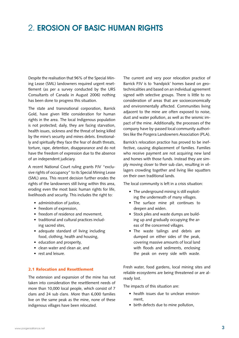## 2. EROSION OF BASIC HUMAN RIGHTS

Despite the realisation that 96% of the Special Mining Lease (SML) landowners required urgent resettlement (as per a survey conducted by the URS Consultants of Canada in August 2006) nothing has been done to progress this situation.

The state and transnational corporation, Barrick Gold, have given little consideration for human rights in the area. The local Indigenous population is not protected; daily, they are facing starvation, health issues, sickness and the threat of being killed by the mine's security and mines debris. Emotionally and spiritually they face the fear of death threats, torture, rape, detention, disappearance and do not have the freedom of expression due to the absence of an independent judiciary.

A recent National Court ruling grants PJV "exclusive rights of occupancy" to its Special Mining Lease (SML) area. This recent decision further erodes the rights of the landowners still living within this area, eroding even the most basic human rights for life, livelihoods and security. This includes the right to:

- administration of justice,
- freedom of expression,
- freedom of residence and movement.
- traditional and cultural practices including sacred sites,
- adequate standard of living including food, clothing, health and housing,
- education and prosperity,
- clean water and clean air, and
- rest and leisure.

#### 2.1 Relocation and Resettlement

The extension and expansion of the mine has not taken into consideration the resettlement needs of more than 10,000 local people, which consist of 7 clans and 24 sub clans. More than 6,000 families live on the same peak as the mine, none of these indigenous villages have been relocated.

The current and very poor relocation practice of Barrick PJV is to 'handpick' homes based on geotechnicalities and based on an individual agreement signed with selective groups. There is little to no consideration of areas that are socioeconomically and environmentally affected. Communities living adjacent to the mine are often exposed to noise, dust and water pollution, as well as the seismic impact of the mine. Additionally, the processes of the company have by-passed local community authorities like the Porgera Landowners Association (PLA).

Barrick's relocation practice has proved to be ineffective, causing displacement of families. Families who receive payment are not acquiring new land and homes with those funds. Instead they are simply moving closer to their sub clan, resulting in villagers crowding together and living like squatters on their own traditional lands.

The local community is left in a crisis situation:

- The underground mining is still exploiting the underneath of many villages.
- • The surface mine pit continues to deepen and widen.
- Stock piles and waste dumps are building up and gradually occupying the areas of the concerned villages.
- The waste tailings and debris are dumped on either sides of the peak, covering massive amounts of local land with floods and sediments, enclosing the peak on every side with waste.

Fresh water, food gardens, local mining sites and reliable ecosystems are being threatened or are already lost.

The impacts of this situation are:

- health issues due to unclean environment,
- • birth defects due to mine pollution,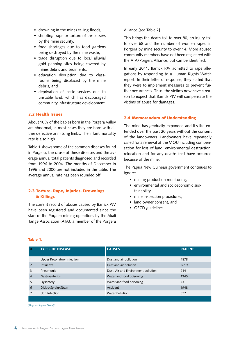- drowning in the mines tailing floods,
- shooting, rape or torture of trespassers by the mine security,
- food shortages due to food gardens being destroyed by the mine waste,
- trade disruption due to local alluvial gold panning sites being covered by mines debris and sediments,
- • education disruption due to classrooms being displaced by the mine debris, and
- • deprivation of basic services due to unstable land, which has discouraged community infrastructure development.

#### 2.2 Health Issues

About 10% of the babies born in the Porgera Valley are abnormal, in most cases they are born with either defective or missing limbs. The infant mortality rate is also high.

Table 1 shows some of the common diseases found in Porgera, the cause of these diseases and the average annual total patients diagnosed and recorded from 1996 to 2004. The months of December in 1996 and 2000 are not included in the table. The average annual rate has been rounded off.

#### 2.3 Torture, Rape, Injuries, Drownings & Killings

The current record of abuses caused by Barrick PJV have been registered and documented since the start of the Porgera mining operations by the Akali Tange Association (ATA), a member of the Porgera

Alliance [see Table 2].

This brings the death toll to over 80, an injury toll to over 68 and the number of women raped in Porgera by mine security to over 14. More abused community members have not been registered with the ATA/Porgera Alliance, but can be identified.

In early 2011, Barrick PJV admitted to rape allegations by responding to a Human Rights Watch report. In their letter of response, they stated that they were to implement measures to prevent further occurrences. Thus, the victims now have a reason to expect that Barrick PJV will compensate the victims of abuse for damages.

#### 2.4 Memorandum of Understanding

The mine has gradually expanded and it's life extended over the past 20 years without the consent of the landowners. Landowners have repeatedly called for a renewal of the MOU including compensation for loss of land, environmental destruction, relocation and for any deaths that have occurred because of the mine.

The Papua New Guinean government continues to ignore:

- mining production monitoring,
- • environmental and socioeconomic sustainability,
- mine inspection procedures,
- land owner consent, and
- OECD guidelines.

| ----- | × |
|-------|---|

| 4878<br>3619 |
|--------------|
|              |
|              |
| 244          |
| 1245         |
| 73           |
| 1948         |
| 877          |
|              |

*(Porgera Hospital Record)*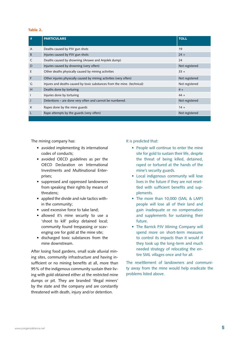#### Table 2.

| #              | <b>PARTICULARS</b>                                                       | <b>TOLL</b>    |
|----------------|--------------------------------------------------------------------------|----------------|
| $\overline{A}$ | Deaths caused by PJV gun shots                                           | 19             |
| B              | Injuries caused by PJV gun shots                                         | $24 +$         |
| C              | Deaths caused by drowning (Anawe and Anjolek dump)                       | 24             |
| D              | Injuries caused by drowning (very often)                                 | Not registered |
| E              | Other deaths physically caused by mining activities                      | $33 +$         |
| F              | Other injuries physically caused by mining activities (very often)       | Not registered |
| G              | Injures and deaths caused by toxic substances from the mine. (technical) | Not registered |
| н              | Deaths done by torturing                                                 | $4 +$          |
| $\mathbf{I}$   | Injuries done by torturing                                               | $44 +$         |
| J              | Detentions – are done very often and cannot be numbered.                 | Not registered |
| К              | Rapes done by the mine guards                                            | $14 +$         |
|                | Rape attempts by the guards (very often)                                 | Not registered |

The mining company has:

- avoided implementing its international codes of conducts;
- avoided OECD guidelines as per the OECD Declaration on International Investments and Multinational Enterprises;
- suppressed and oppressed landowners from speaking their rights by means of threatens;
- applied the divide and rule tactics within the community;
- used excessive force to take land:
- allowed it's mine security to use a 'shoot to kill' policy detained local; community found trespassing or scavenging ore for gold at the mine site;
- • discharged toxic substances from the mine downstream.

After losing food gardens, small scale alluvial mining sites, community infrastructure and having insufficient or no mining benefits at all, more than 95% of the indigenous community sustain their living with gold obtained either at the restricted mine dumps or pit. They are branded 'illegal miners' by the state and the company and are constantly threatened with death, injury and/or detention.

It is predicted that:

- People will continue to enter the mine site for gold to sustain their life, despite the threat of being killed, detained, raped or tortured at the hands of the mine's security guards.
- Local indigenous community will lose lives in the future if they are not resettled with sufficient benefits and supplements.
- The more than 10,000 (SML & LMP) people will lose all of their land and gain inadequate or no compensation and supplements for sustaining their future.
- The Barrick PJV Mining Company will spend more on short-term measures to control its impacts than it would if they took up the long-term and much needed strategy of relocating the entire SML villages once and for all.

The resettlement of landowners and community away from the mine would help eradicate the problems listed above.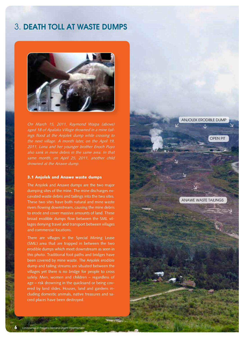### 3. DEATH TOLL AT WASTE DUMPS



On March 15, 2011, Raymond Waipa (above) aged 18 of Apalaka Village drowned in a mine tailings flood at the Anjolek dump while crossing to the next village. A month later, on the April 19, 2011, Lona and her younger brother Enoch Puyo also sank in mine debris in the same area. In that same month, on April 25, 2011, another child drowned at the Anawe dump.

#### 3.1 Anjolek and Anawe waste dumps

The Anjolek and Anawe dumps are the two major dumping sites of the mine. The mine discharges excavated waste debris and tailings into the two sites. These two sites have both natural and mine waste rivers flowing downstream, causing the mine debris to erode and cover massive amounts of land. These broad erodible dumps flow between the SML villages denying travel and transport between villages and commercial locations.

There are villages in the Special Mining Lease (SML) area that are trapped in between the two erodible dumps which meet downstream as seen in this photo. Traditional foot paths and bridges have been covered by mine waste. The Anjolek erodible dump and tailing streams are situated between the villages yet there is no bridge for people to cross safely. Men, women and children – regardless of age – risk drowning in the quicksand or being covered by land slides. Houses, land and gardens including domestic animals, native treasures and sacred places have been destroyed.

s in Porgera Demand Urgent Resettlement

OPEN PIT ANAWE WASTE TAILINGS ANJOLEK ERODIBLE DUMP  $\overline{\mathcal{L}}$  $\downarrow$ >  $\sqrt{2}$  $\overline{\mathcal{L}}$ > >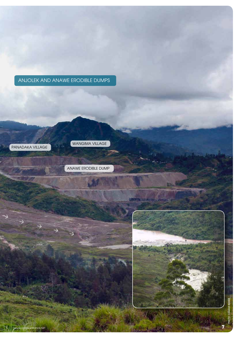### ANJOLEK AND ANAWE ERODIBLE DUMPS



>

 $\rightarrow$ 

 $\leftrightarrow$ 

WANGIMA VILLAGE

ANAWE ERODIBLE DUMP

www.porgeraalliance.net  $\blacksquare$ 

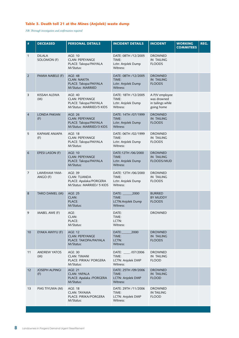#### Table 3. Death toll 21 at the Mines (Anjolek) waste dump

*NB: Thorough investigation and confirmation required*

| #              | <b>DECEASED</b>              | <b>PERSONAL DETAILS</b>                                                                       | <b>INCIDENT DETAILS</b>                                          | <b>INCIDENT</b>                                                  | <b>WORKING</b><br><b>COMMITEES</b> | REG. |
|----------------|------------------------------|-----------------------------------------------------------------------------------------------|------------------------------------------------------------------|------------------------------------------------------------------|------------------------------------|------|
| 1              | <b>DILALA</b><br>SOLOMON (F) | <b>AGE: 10</b><br><b>CLAN: PEPEYANGE</b><br>PLACE: Takopa/PAIYALA<br>M/Status:                | DATE: 08TH /12/2005<br>TIME:<br>Lctn: Anjolek Dump<br>Witness:   | <b>DROWNED</b><br><b>IN TAILING</b><br><b>FLOODS</b>             |                                    |      |
| 2              | PAMIA NABELE (F)             | <b>AGE: 48</b><br><b>CLAN: NAKITA</b><br>PLACE: Takopa/PAIYALA<br><b>M/Status: MARRIED</b>    | DATE: 08TH /12/2005<br>TIME:<br>Lctn: Anjolek Dump<br>Witness:   | <b>DROWNED</b><br><b>IN TAILING</b><br><b>FLOODS</b>             |                                    |      |
| 3              | KISSAH ALEWA<br>(M)          | <b>AGE: 40</b><br><b>CLAN: PEPEYANGE</b><br>PLACE: Takopa/PAIYALA<br>M/Status: MARRIED/5 KIDS | DATE: 18TH /12/2005<br>TIME:<br>Lctn: Anjolek Dump<br>Witness:   | A PJV employee<br>was drowned<br>in tailings while<br>going home |                                    |      |
| $\overline{4}$ | <b>LONDA PAKIAN</b><br>(F)   | <b>AGE: 26</b><br><b>CLAN: PEPEYANGE</b><br>PLACE: Takopa/PAIYALA<br>M/Status: MARRIED/3 KIDS | DATE: 14TH /07/1999<br>TIME:<br>Lctn: Anjolek Dump<br>Witness:   | <b>DROWNED</b><br><b>IN TAILING</b><br><b>FLOODS</b>             |                                    |      |
| 5              | <b>KAPAME ANJAPA</b><br>(F)  | AGE: 18<br><b>CLAN: PEPEYANGE</b><br>PLACE: Takopa/PAIYALA<br>M/Status:                       | DATE: 06TH /02/1999<br>TIME:<br>Lctn: Anjolek Dump<br>Witness:   | <b>DROWNED</b><br><b>IN TAILING</b><br><b>FLOODS</b>             |                                    |      |
| 6              | <b>EPESI LASON (F)</b>       | <b>AGE: 10</b><br><b>CLAN: PEPEYANGE</b><br>PLACE: Takopa/PAIYALA<br>M/Status:                | DATE:12TH /06/2000<br>TIME:<br>Lctn: Anjolek Dump<br>Witness:    | <b>DROWNED</b><br><b>IN TAILING</b><br>FLOODS/MUD                |                                    |      |
| 7              | LAWEHAM YAM-<br>ANGO (F)     | <b>AGE: 39</b><br><b>CLAN: TUANDA</b><br>PLACE: Apalaka/PORGERA<br>M/Status: MARRIED/ 5 KIDS  | DATE: 12TH /06/2000<br>TIME:<br>Lctn: Anjolek Dump<br>Witness:   | <b>DROWNED</b><br><b>IN TAILING</b><br><b>FLOODS</b>             |                                    |      |
| 8              | TARO DANIEL (M)              | <b>AGE: 25</b><br>CLAN:<br><b>PLACE:</b><br>M/Status:                                         | 2000<br>DATE:<br>TIME:<br>LCTN: Anjolek Dump<br>Witness:         | <b>BURRIED</b><br><b>BY MUDDY</b><br><b>FLOODS</b>               |                                    |      |
| 9              | MABEL AWE (F)                | AGE:<br>CLAN:<br>PLACE:<br>M/Status:                                                          | DATE:<br>TIME:<br>LCTN:<br>Witness:                              | <b>DROWNED</b>                                                   |                                    |      |
| 10             | EYAKA AWIYU (F)              | <b>AGE: 12</b><br><b>CLAN: PEPEYANGE</b><br>PLACE: TAKOPA/PAIYALA<br>M/Status:                | 2000<br>DATE:<br>TIME:<br>LCTN:<br>Witness:                      | <b>DROWNED</b><br><b>IN TAILING</b><br><b>FLOODS</b>             |                                    |      |
| 11             | <b>ANDREW YATOS</b><br>(M)   | <b>AGE: 30</b><br><b>CLAN: TIMANI</b><br>PLACE: PIRIKA/ PORGERA<br>M/Status:                  | $\_$ /07/2006<br>Date:<br>TIME:<br>LCTN: Anjolek DMP<br>Witness: | <b>DROWNED</b><br><b>IN TAILING</b><br><b>FLOOD</b>              |                                    |      |
| 12             | <b>JOSEPH ALPINGI</b><br>(F) | <b>AGE: 21</b><br><b>CLAN: YAPALA</b><br>PLACE: Apalaka /PORGERA<br>M/Status:                 | DATE: 25TH /09/2006<br>TIME:<br>LCTN: Anjolek DMP<br>Witness:    | <b>DROWNED</b><br><b>IN TAILING</b><br><b>FLOOD</b>              |                                    |      |
| 13             | PIAS TIYUWA (M)              | <b>AGE: 18</b><br><b>CLAN: TAYAMA</b><br>PLACE: PIRIKA/PORGERA<br>M/Status:                   | DATE: 29TH /11/2006<br>TIME:<br>LCTN: Anjolek DMP<br>Witness:    | <b>DROWNED</b><br><b>IN TAILING</b><br><b>FLOOD</b>              |                                    |      |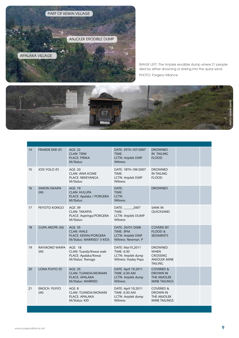

IMAGE LEFT: The Anjolek erodible dump where 21 people died by either drowning or sinking into the quick sand. PHOTO: Porgera Alliance



| 14 | <b>FRANDE EKEI (F)</b>     | <b>AGE: 22</b><br><b>CLAN: TIENI</b><br><b>PLACE: PIRIKA</b><br>M/Status:                         | DATE: 25TH /07/2007<br>TIME:<br>LCTN: Anjolek DMP<br>Witness:                   | <b>DROWNED</b><br><b>IN TAILING</b><br><b>FLOOD</b>                                       |  |
|----|----------------------------|---------------------------------------------------------------------------------------------------|---------------------------------------------------------------------------------|-------------------------------------------------------------------------------------------|--|
| 15 | <b>JOSI YOLO (F)</b>       | <b>AGE: 20</b><br><b>CLAN: AWA KOME</b><br>PLACE: NEKEYANGA<br>M/Status:                          | DATE: 18TH /09/2007<br>TIME:<br>LCTN: Anjolek DMP<br>Witness:                   | <b>DROWNED</b><br><b>IN TAILING</b><br><b>FLOOD</b>                                       |  |
| 16 | <b>SIMON OKAIPA</b><br>(M) | <b>AGE: 19</b><br><b>CLAN: HULUPA</b><br>PLACE: Apalaka / PORGERA<br>M/Status:                    | DATE:<br>TIME:<br>LCTN:<br>Witness:                                             | <b>DROWNED</b>                                                                            |  |
| 17 | PEYOTO KONGO               | <b>AGE: 39</b><br><b>CLAN: TAKAPIA</b><br>PLACE: Aspiringa/PORGERA<br>M/Status:                   | 2007<br>DATE:<br>TIME:<br>LCTN: Anjolek DUMP<br>Witness:                        | <b>SANK IN</b><br>QUICKSAND                                                               |  |
| 18 | <b>GUPA AROPE (M)</b>      | <b>AGE: 35</b><br><b>CLAN: WALE</b><br>PLACE: KEWAI/PORGERA<br>M/Status: MARRIED/ 3 KIDS          | DATE: 20/01/2008<br>TIME: 3PM<br><b>LCTN: Anjolek DMP</b><br>Witness: Newman, P | <b>COVERD BY</b><br><b>FLOOD &amp;</b><br><b>SEDIMENTS</b>                                |  |
| 19 | RAYMOND WAIPA<br>(M)       | AGE: 18<br>CLAN: Tuanda/Kewai wale<br>PLACE: Apalaka/Kewai<br>M/Status: Teenage                   | DATE: Mar15,2011<br>TIME: 6:30<br>LCTN: Anjolek dump<br>Witness: Hasley Pepa    | <b>DROWNED</b><br><b>WHEN</b><br><b>CROSSING</b><br><b>ANJOLEK MINE</b><br><b>TAILING</b> |  |
| 20 | LONA PUIYO (F)             | <b>AGE: 25</b><br><b>CLAN: TUANDA/MONAIN</b><br><b>PLACE: APALAKA</b><br><b>M/Status: MARRIED</b> | DATE: April 19,2011<br>TIME: 6:30 AM<br>LCTN: Anjolek dump<br>Witness:          | <b>COVERED &amp;</b><br><b>DROWN IN</b><br>THE ANJOLEK<br><b>MINE TAILINGS</b>            |  |
| 21 | <b>ENOCH PUIYO</b><br>(M)  | AGE: 8<br><b>CLAN: TUANDA/MONAIN</b><br>PLACE: APALAKA<br>M/Status: KID                           | DATE: April 19,2011<br>TIME: 6:30 AM<br>LCTN: Anjolek dump<br>Witness:          | <b>COVERED &amp;</b><br><b>DROWN IN</b><br>THE ANJOLEK<br><b>MINE TAILINGS</b>            |  |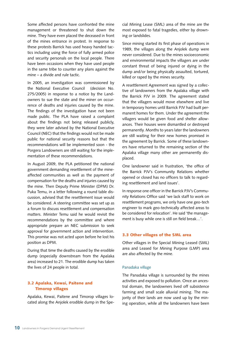Some affected persons have confronted the mine management or threatened to shut down the mine. They have even placed the deceased in front of the mines entrance in protest. In response to these protests Barrick has used heavy handed tactics including using the force of fully armed police and security personals on the local people. There have been occasions when they have used people in the same tribe to counter any plans against the mine – a divide and rule tactic.

In 2005, an investigation was commissioned by the National Executive Council (decision No. 275/2005) in response to a notice by the Landowners to sue the state and the miner on occurrence of deaths and injuries caused by the mine. The findings of the investigation have not been made public. The PLA have raised a complaint about the findings not being released publicly, they were later advised by the National Executive Council (NEC) that the findings would not be made public for national security reasons but that the recommendations will be implemented soon - the Porgera Landowners are still waiting for the implementation of these recommendations.

In August 2009, the PLA petitioned the national government demanding resettlement of the mineaffected communities as well as the payment of compensation for the deaths and injuries caused by the mine. Then Deputy Prime Minister (DPM) Dr. Puka Temu, in a letter following a round table discussion, advised that the resettlement issue would be considered. A steering committee was set up as a forum to discuss resettlement and compensation matters. Minister Temu said he would revisit the recommendations by the committee and where appropriate prepare an NEC submission to seek approval for government action and intervention. This promise was not acted upon before he lost his position as DPM.

During that time the deaths caused by the erodible dump (especially downstream from the Apalaka area) increased to 21. The erodible dump has taken the lives of 24 people in total.

#### 3.2 Apalaka, Kewai, Paitene and Timorop villages

Apalaka, Kewai, Paitene and Timorop villages located along the Anjolek erodible dump in the Special Mining Lease (SML) area of the mine are the most exposed to fatal tragedies, either by drowning or landslides.

Since mining started its first phase of operations in 1989, the villages along the Anjolek dump were never considered. Due to the mines socioeconomic and environmental impacts the villagers are under constant threat of being injured or dying in the dump and/or being physically assaulted, tortured, killed or raped by the mines security.

A resettlement Agreement was signed by a collective of landowners from the Apalaka village with the Barrick PJV in 2009. The agreement stated that the villagers would move elsewhere and live in temporary homes until Barrick PJV had built permanent homes for them. Under the agreement the villagers would be given food and shelter allowances. Their houses were dismantled or destroyed permanently. Months to years later the landowners are still waiting for their new homes promised in the agreement by Barrick. Some of these landowners have returned to the remaining section of the Apalaka village many other are permanently displaced.

One landowner said in frustration, 'the office of the Barrick PJV's Community Relations whether opened or closed has no officers to talk to regarding resettlement and land issues'.

In response one officer in the Barrick PJV's Community Relations Office said 'we lack staff to work on resettlement programs, we only have one geo-tech engineer to mark geo-technically affected areas to be considered for relocation'. He said 'the management is busy while one is still on field break...'.

#### 3.3 Other villages of the SML area

Other villages in the Special Mining Leased (SML) area and Leased for Mining Purpose (LMP) area are also affected by the mine.

#### Panadaka village

The Panadaka village is surrounded by the mines activities and exposed to pollution. Once an ancestral domain, the landowners lived off subsistence farming and small scale alluvial mining. The majority of their lands are now used up by the mining operation, while all the landowners have been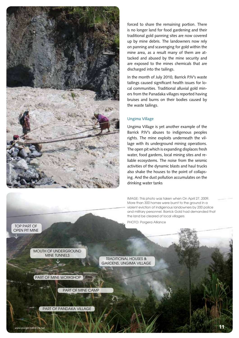

forced to share the remaining portion. There is no longer land for food gardening and their traditional gold panning sites are now covered up by mine debris. The landowners now rely on panning and scavenging for gold within the mine area, as a result many of them are attacked and abused by the mine security and are exposed to the mines chemicals that are discharged into the tailings.

In the month of July 2010, Barrick PJV's waste tailings caused significant health issues for local communities. Traditional alluvial gold miners from the Panadaka villages reported having bruises and burns on their bodies caused by the waste tailings.

#### Ungima Village

Ungima Village is yet another example of the Barrick PJV's abuses to indigenous peoples rights. The mine exploits underneath the village with its underground mining operations. The open pit which is expanding displaces fresh water, food gardens, local mining sites and reliable ecosystems. The noise from the seismic activities of the dynamic blasts and haul trucks also shake the houses to the point of collapsing. And the dust pollution accumulates on the drinking water tanks

IMAGE: This photo was taken when On April 27, 2009, More than 300 homes were burnt to the ground in a violent eviction of indigenous landowners by 200 police and military personnel. Barrick Gold had demanded that the land be cleared of local villagers

PHOTO: Porgera Alliance

TRADITIONAL HOUSES & GARDENS, UNGIMA VILLAGE

MOUTH OF UNDERGROUND MINE TUNNELS

PART OF MINE WORKSHOP

 $\overline{\downarrow}$ 

TOP PART OF OPEN PIT MINE

 $\downarrow$ 

PART OF MINE CAMP

PART OF PANDAKA VILLAGE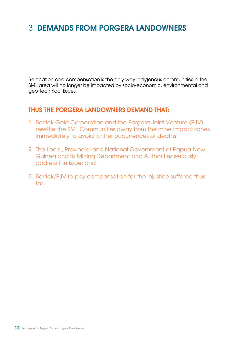# 3. DEMANDS FROM PORGERA LANDOWNERS

Relocation and compensation is the only way indigenous communities in the SML area will no longer be impacted by socio-economic, environmental and geo-technical issues.

### THUS THE PORGERA LANDOWNERS DEMAND THAT:

- 1. Barrick Gold Corporation and the Porgera Joint Venture (PJV) resettle the SML Communities away from the mine impact zones immediately to avoid further occurrences of deaths;
- 2. The Local, Provincial and National Government of Papua New Guinea and its Mining Department and Authorities seriously address the issue; and
- 3. Barrick/PJV to pay compensation for the injustice suffered thus far.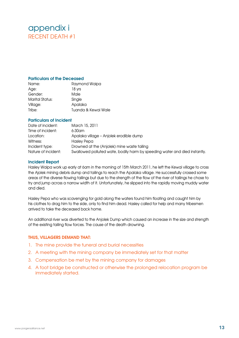### appendix i RECENT DEATH #1

#### Particulars of the Deceased

| Name:           | Raymond Waipa       |
|-----------------|---------------------|
| Age:            | 18 yrs              |
| Gender:         | Male                |
| Marital Status: | Single              |
| Village:        | Apalaka             |
| Tribe:          | Tuanda & Kewai Wale |

#### Particulars of Incident

| Date of incident:   | March 15, 2011                                                             |
|---------------------|----------------------------------------------------------------------------|
| Time of incident:   | $6:30$ am                                                                  |
| Location:           | Apalaka village - Anjolek erodible dump                                    |
| Witness:            | Haslev Pepa                                                                |
| Incident type:      | Drowned at the (Anjolek) mine waste tailing                                |
| Nature of incident: | Swallowed polluted wate, bodily harm by speeding water and died instantly. |

#### Incident Report

Hasley Waipa work up early at 6am in the morning of 15th March 2011, he left the Kewai village to cross the Ajolek mining debris dump and tailings to reach the Apalaka village. He successfully crossed some areas of the diverse flowing tailings but due to the strength of the flow of the river of tailings he chose to try and jump across a narrow width of it. Unfortunately, he slipped into the rapidly moving muddy water and died.

Hasley Pepa who was scavenging for gold along the waters found him floating and caught him by his clothes to drag him to the side, only to find him dead. Hasley called for help and many tribesmen arrived to take the deceased back home.

An additional river was diverted to the Anjolek Dump which caused an increase in the size and strength of the existing tailing flow forces. The cause of the death drowning.

#### THUS, VILLAGERS DEMAND THAT:

- 1. The mine provide the funeral and burial necessities
- 2. A meeting with the mining company be immediately set for that matter
- 3. Compensation be met by the mining company for damages
- 4. A foot bridge be constructed or otherwise the prolonged relocation program be immediately started.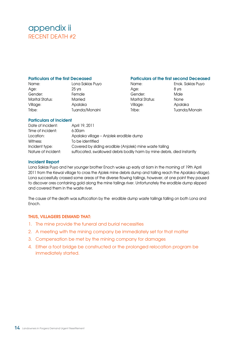### appendix ii RECENT DEATH #2

#### Particulars of the first Deceased

| Name:           | Lona Sakias Puyo |
|-----------------|------------------|
| Age:            | 25 yrs           |
| Gender:         | Female           |
| Marital Status: | Married          |
| Village:        | Apalaka          |
| Tribe:          | Tuanda/Monaini   |

#### Particulars of the first second Deceased

Age: 8 yrs Gender: Male Marital Status: None Village: Apalaka

Name: Enok. Sakias Puyo Tribe: Tuanda/Monain

#### Particulars of Incident

| Date of incident:   | April 19, 2011                                                          |
|---------------------|-------------------------------------------------------------------------|
| Time of incident:   | $6:30$ am                                                               |
| Location:           | Apalaka village - Anjolek erodible dump                                 |
| Witness:            | To be identified                                                        |
| Incident type:      | Covered by sliding erodible (Anjolek) mine waste tailing                |
| Nature of incident: | suffocated, swallowed debris bodily harm by mine debris, died instantly |

#### Incident Report

Lona Sakias Puyo and her younger brother Enoch woke up early at 6am in the morning of 19th April 2011 from the Kewai village to cross the Ajolek mine debris dump and tailing reach the Apalaka village). Lona successfully crossed some areas of the diverse flowing tailings, however, at one point they paused to discover ores containing gold along the mine tailings river. Unfortunately the erodible dump slipped and covered them in the waste river.

The cause of the death was suffocation by the erodible dump waste tailings falling on both Lona and Enoch.

#### THUS, VILLAGERS DEMAND THAT:

- 1. The mine provide the funeral and burial necessities
- 2. A meeting with the mining company be immediately set for that matter
- 3. Compensation be met by the mining company for damages
- 4. Either a foot bridge be constructed or the prolonged relocation program be immediately started.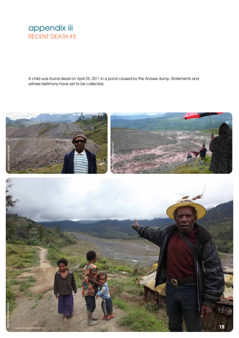

A child was found dead on April 25, 2011 in a pond caused by the Anawe dump. Statements and witness testimony have yet to be collected.

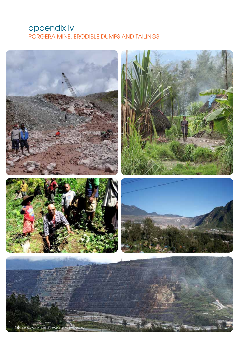### appendix iv PORGERA MINE. ERODIBLE DUMPS AND TAILINGS

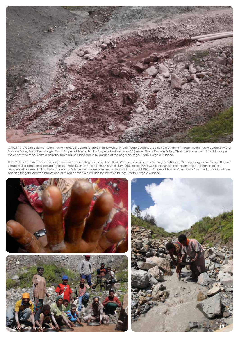

OPPOSITE PAGE [clockwise]: Community members looking for gold in toxic waste. Photo: Porgera Alliance, Barrick Gold's mine threatens community gardens. Photo: Damian Baker, Panadaka village. Photo: Porgera Alliance, Barrick Porgera Joint Venture (PJV) mine. Photo: Damian Baker, Chief Landowner, Mr. Nixon Mangape shows how the mines seismic activities have caused land slips in his garden at the Ungima village. Photo: Porgera Alliance.

THIS PAGE [clockwise]: Toxic discharge and untreated tailings spew out from Barrick's mine in Porgera. Photo: Porgera Alliance, Mine discharge runs through Ungima village while people are panning for gold. Photo: Damian Baker, In the month of July 2010, Barrick PJV's waste tailings caused instant and significant sores on people's skin as seen in this photo of a woman's fingers who were poisoned while panning for gold. Photo: Porgera Alliance, Community from the Panadaka village panning for gold reported bruises and burnings on their skin caused by the toxic tailings. Photo: Porgera Alliance.